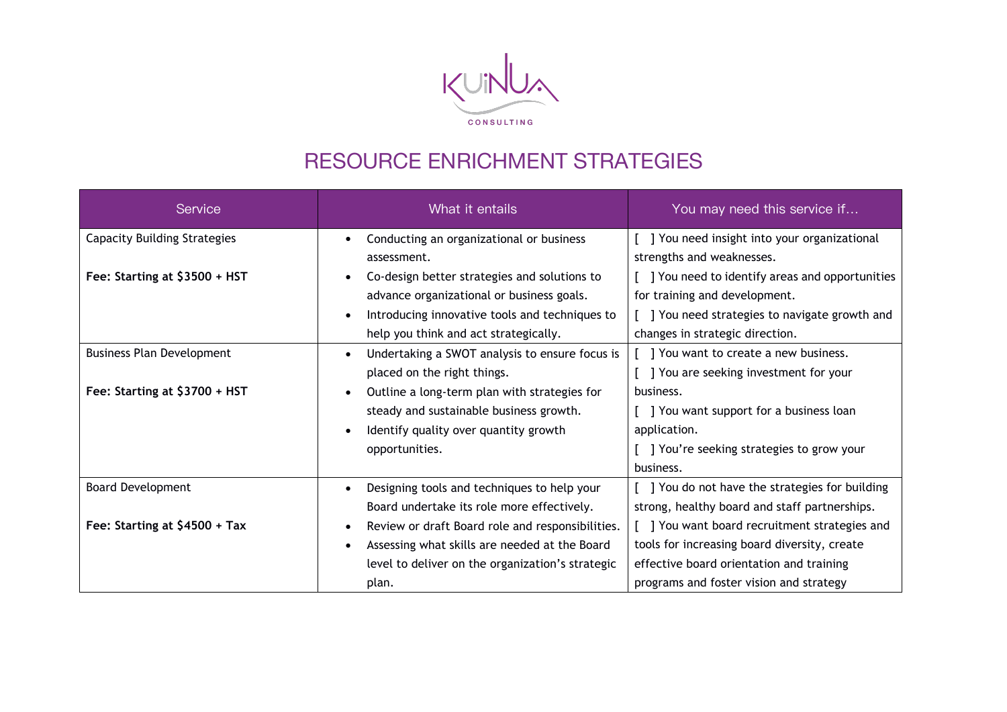

## RESOURCE ENRICHMENT STRATEGIES

| Service                             | What it entails                                               | You may need this service if                    |
|-------------------------------------|---------------------------------------------------------------|-------------------------------------------------|
| <b>Capacity Building Strategies</b> | Conducting an organizational or business                      | ] You need insight into your organizational     |
|                                     | assessment.                                                   | strengths and weaknesses.                       |
| Fee: Starting at \$3500 + HST       | Co-design better strategies and solutions to<br>$\bullet$     | ] You need to identify areas and opportunities  |
|                                     | advance organizational or business goals.                     | for training and development.                   |
|                                     | Introducing innovative tools and techniques to                | ] You need strategies to navigate growth and    |
|                                     | help you think and act strategically.                         | changes in strategic direction.                 |
| <b>Business Plan Development</b>    | Undertaking a SWOT analysis to ensure focus is<br>$\bullet$   | You want to create a new business.              |
|                                     | placed on the right things.                                   | ] You are seeking investment for your           |
| Fee: Starting at \$3700 + HST       | Outline a long-term plan with strategies for                  | business.                                       |
|                                     | steady and sustainable business growth.                       | J You want support for a business loan          |
|                                     | Identify quality over quantity growth                         | application.                                    |
|                                     | opportunities.                                                | ] You're seeking strategies to grow your        |
|                                     |                                                               | business.                                       |
| <b>Board Development</b>            | Designing tools and techniques to help your<br>$\bullet$      | [ ] You do not have the strategies for building |
|                                     | Board undertake its role more effectively.                    | strong, healthy board and staff partnerships.   |
| Fee: Starting at \$4500 + Tax       | Review or draft Board role and responsibilities.<br>$\bullet$ | ] You want board recruitment strategies and     |
|                                     | Assessing what skills are needed at the Board<br>$\bullet$    | tools for increasing board diversity, create    |
|                                     | level to deliver on the organization's strategic              | effective board orientation and training        |
|                                     | plan.                                                         | programs and foster vision and strategy         |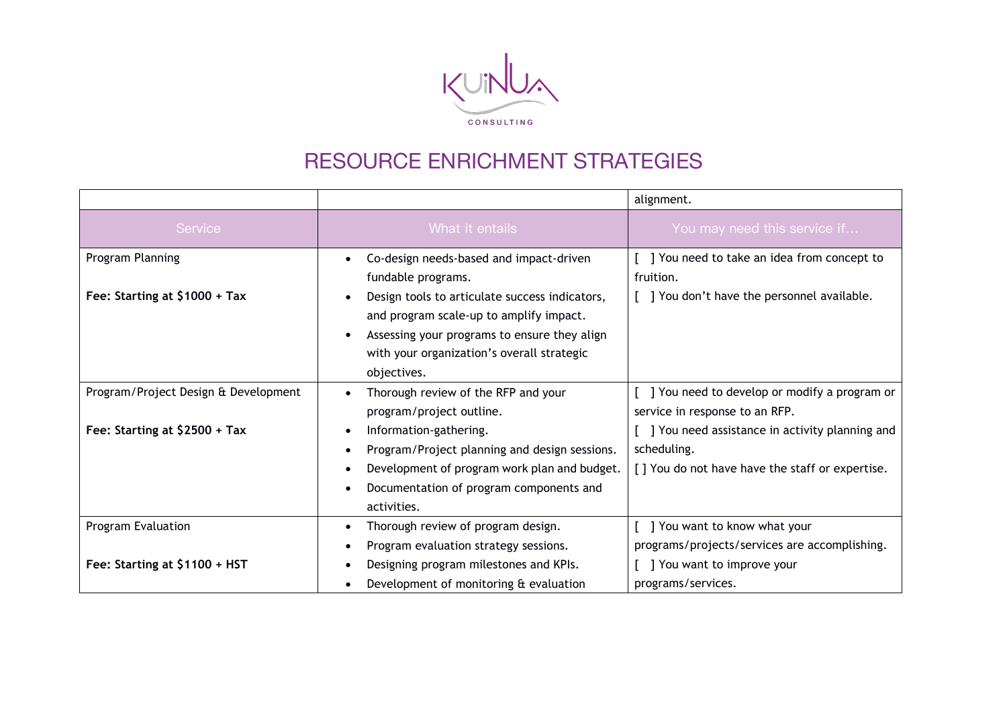

## RESOURCE ENRICHMENT STRATEGIES

|                                      |                                                            | alignment.                                       |
|--------------------------------------|------------------------------------------------------------|--------------------------------------------------|
| Service                              | What it entails                                            | You may need this service if                     |
| Program Planning                     | Co-design needs-based and impact-driven<br>$\bullet$       | [] You need to take an idea from concept to      |
|                                      | fundable programs.                                         | fruition.                                        |
| Fee: Starting at \$1000 + Tax        | Design tools to articulate success indicators,             | [ ] You don't have the personnel available.      |
|                                      | and program scale-up to amplify impact.                    |                                                  |
|                                      | Assessing your programs to ensure they align               |                                                  |
|                                      | with your organization's overall strategic                 |                                                  |
|                                      | objectives.                                                |                                                  |
| Program/Project Design & Development | Thorough review of the RFP and your                        | ] You need to develop or modify a program or     |
|                                      | program/project outline.                                   | service in response to an RFP.                   |
| Fee: Starting at $$2500 + Tax$       | Information-gathering.                                     | [ ] You need assistance in activity planning and |
|                                      | Program/Project planning and design sessions.<br>$\bullet$ | scheduling.                                      |
|                                      | Development of program work plan and budget.<br>$\bullet$  | [] You do not have have the staff or expertise.  |
|                                      | Documentation of program components and<br>$\bullet$       |                                                  |
|                                      | activities.                                                |                                                  |
| Program Evaluation                   | Thorough review of program design.<br>٠                    | ] You want to know what your                     |
|                                      | Program evaluation strategy sessions.<br>$\bullet$         | programs/projects/services are accomplishing.    |
| Fee: Starting at \$1100 + HST        | Designing program milestones and KPIs.                     | [ ] You want to improve your                     |
|                                      | Development of monitoring & evaluation                     | programs/services.                               |